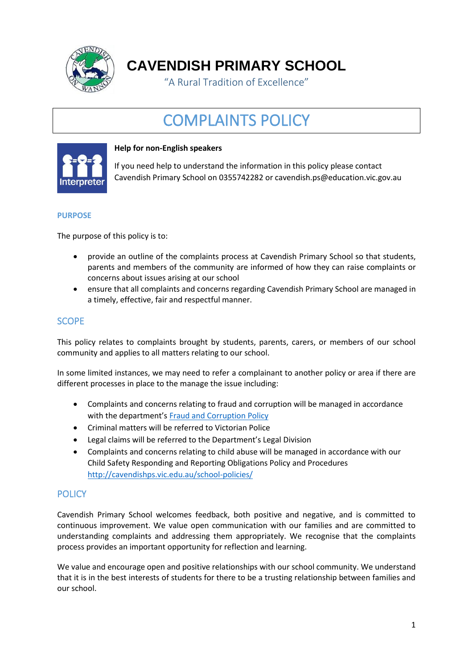

**CAVENDISH PRIMARY SCHOOL**

"A Rural Tradition of Excellence"

# COMPLAINTS POLICY



#### **Help for non-English speakers**

If you need help to understand the information in this policy please contact Cavendish Primary School on 0355742282 or cavendish.ps@education.vic.gov.au

#### **PURPOSE**

The purpose of this policy is to:

- provide an outline of the complaints process at Cavendish Primary School so that students, parents and members of the community are informed of how they can raise complaints or concerns about issues arising at our school
- ensure that all complaints and concerns regarding Cavendish Primary School are managed in a timely, effective, fair and respectful manner.

# **SCOPE**

This policy relates to complaints brought by students, parents, carers, or members of our school community and applies to all matters relating to our school.

In some limited instances, we may need to refer a complainant to another policy or area if there are different processes in place to the manage the issue including:

- Complaints and concerns relating to fraud and corruption will be managed in accordance with the department's [Fraud and Corruption Policy](https://www2.education.vic.gov.au/pal/report-fraud-or-corruption/overview)
- Criminal matters will be referred to Victorian Police
- Legal claims will be referred to the Department's Legal Division
- Complaints and concerns relating to child abuse will be managed in accordance with our Child Safety Responding and Reporting Obligations Policy and Procedures <http://cavendishps.vic.edu.au/school-policies/>

### **POLICY**

Cavendish Primary School welcomes feedback, both positive and negative, and is committed to continuous improvement. We value open communication with our families and are committed to understanding complaints and addressing them appropriately. We recognise that the complaints process provides an important opportunity for reflection and learning.

We value and encourage open and positive relationships with our school community. We understand that it is in the best interests of students for there to be a trusting relationship between families and our school.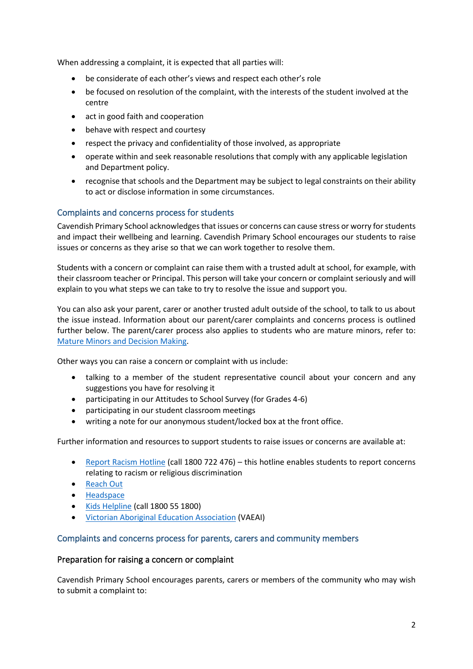When addressing a complaint, it is expected that all parties will:

- be considerate of each other's views and respect each other's role
- be focused on resolution of the complaint, with the interests of the student involved at the centre
- act in good faith and cooperation
- behave with respect and courtesy
- respect the privacy and confidentiality of those involved, as appropriate
- operate within and seek reasonable resolutions that comply with any applicable legislation and Department policy.
- recognise that schools and the Department may be subject to legal constraints on their ability to act or disclose information in some circumstances.

## Complaints and concerns process for students

Cavendish Primary School acknowledges that issues or concerns can cause stress or worry for students and impact their wellbeing and learning. Cavendish Primary School encourages our students to raise issues or concerns as they arise so that we can work together to resolve them.

Students with a concern or complaint can raise them with a trusted adult at school, for example, with their classroom teacher or Principal. This person will take your concern or complaint seriously and will explain to you what steps we can take to try to resolve the issue and support you.

You can also ask your parent, carer or another trusted adult outside of the school, to talk to us about the issue instead. Information about our parent/carer complaints and concerns process is outlined further below. The parent/carer process also applies to students who are mature minors, refer to: [Mature Minors and Decision Making.](https://www2.education.vic.gov.au/pal/mature-minors-and-decision-making/policy)

Other ways you can raise a concern or complaint with us include:

- talking to a member of the student representative council about your concern and any suggestions you have for resolving it
- participating in our Attitudes to School Survey (for Grades 4-6)
- participating in our student classroom meetings
- writing a note for our anonymous student/locked box at the front office.

Further information and resources to support students to raise issues or concerns are available at:

- [Report Racism Hotline](https://www.vic.gov.au/report-racism-or-religious-discrimination-schools) (call 1800 722 476) this hotline enables students to report concerns relating to racism or religious discrimination
- [Reach Out](https://au.reachout.com/?gclid=CjwKCAiAgbiQBhAHEiwAuQ6BktaB5xneGFK3TnOql5c5eZ7af7dDm9ffLZa7N59FEtbtQzVIk8sGWhoC8N0QAvD_BwE)
- [Headspace](https://headspace.org.au/)
- [Kids Helpline](https://kidshelpline.com.au/?gclid=CjwKCAiAgbiQBhAHEiwAuQ6Bkro6UD2EBcRILznFnRhKjfi5I84jJlUa0fyiiYLQ4mHx5sXTStxH8BoCCEIQAvD_BwE) (call 1800 55 1800)
- [Victorian Aboriginal Education Association](https://www.vaeai.org.au/) (VAEAI)

#### Complaints and concerns process for parents, carers and community members

#### Preparation for raising a concern or complaint

Cavendish Primary School encourages parents, carers or members of the community who may wish to submit a complaint to: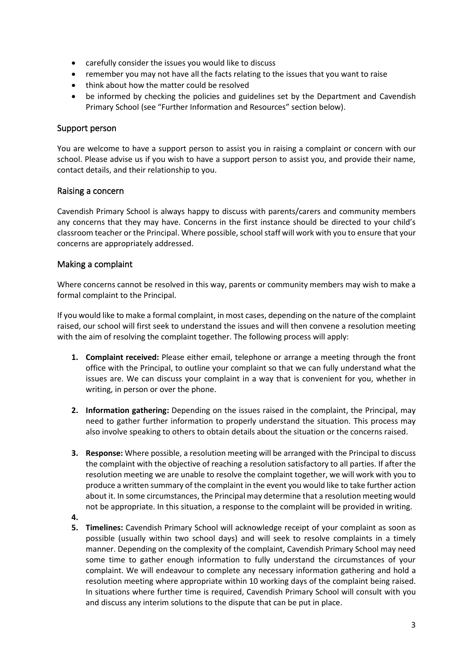- carefully consider the issues you would like to discuss
- remember you may not have all the facts relating to the issues that you want to raise
- think about how the matter could be resolved
- be informed by checking the policies and guidelines set by the Department and Cavendish Primary School (see "Further Information and Resources" section below).

#### Support person

You are welcome to have a support person to assist you in raising a complaint or concern with our school. Please advise us if you wish to have a support person to assist you, and provide their name, contact details, and their relationship to you.

#### Raising a concern

Cavendish Primary School is always happy to discuss with parents/carers and community members any concerns that they may have. Concerns in the first instance should be directed to your child's classroom teacher or the Principal. Where possible, school staff will work with you to ensure that your concerns are appropriately addressed.

#### Making a complaint

Where concerns cannot be resolved in this way, parents or community members may wish to make a formal complaint to the Principal.

If you would like to make a formal complaint, in most cases, depending on the nature of the complaint raised, our school will first seek to understand the issues and will then convene a resolution meeting with the aim of resolving the complaint together. The following process will apply:

- **1. Complaint received:** Please either email, telephone or arrange a meeting through the front office with the Principal, to outline your complaint so that we can fully understand what the issues are. We can discuss your complaint in a way that is convenient for you, whether in writing, in person or over the phone.
- **2. Information gathering:** Depending on the issues raised in the complaint, the Principal, may need to gather further information to properly understand the situation. This process may also involve speaking to others to obtain details about the situation or the concerns raised.
- **3. Response:** Where possible, a resolution meeting will be arranged with the Principal to discuss the complaint with the objective of reaching a resolution satisfactory to all parties. If after the resolution meeting we are unable to resolve the complaint together, we will work with you to produce a written summary of the complaint in the event you would like to take further action about it. In some circumstances, the Principal may determine that a resolution meeting would not be appropriate. In this situation, a response to the complaint will be provided in writing.
- **4.**
- **5. Timelines:** Cavendish Primary School will acknowledge receipt of your complaint as soon as possible (usually within two school days) and will seek to resolve complaints in a timely manner. Depending on the complexity of the complaint, Cavendish Primary School may need some time to gather enough information to fully understand the circumstances of your complaint. We will endeavour to complete any necessary information gathering and hold a resolution meeting where appropriate within 10 working days of the complaint being raised. In situations where further time is required, Cavendish Primary School will consult with you and discuss any interim solutions to the dispute that can be put in place.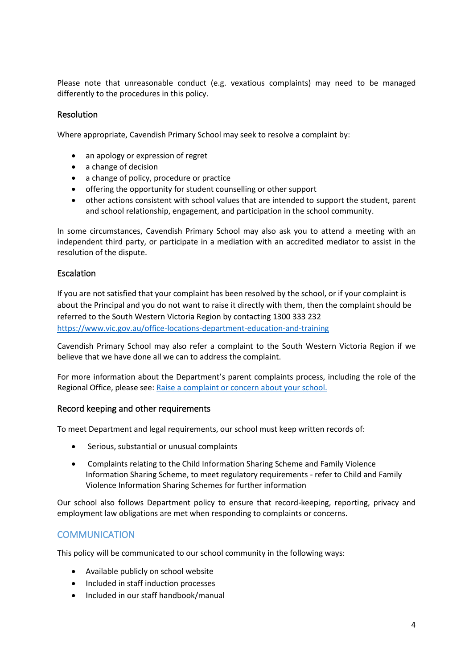Please note that unreasonable conduct (e.g. vexatious complaints) may need to be managed differently to the procedures in this policy.

#### Resolution

Where appropriate, Cavendish Primary School may seek to resolve a complaint by:

- an apology or expression of regret
- a change of decision
- a change of policy, procedure or practice
- offering the opportunity for student counselling or other support
- other actions consistent with school values that are intended to support the student, parent and school relationship, engagement, and participation in the school community.

In some circumstances, Cavendish Primary School may also ask you to attend a meeting with an independent third party, or participate in a mediation with an accredited mediator to assist in the resolution of the dispute.

#### Escalation

If you are not satisfied that your complaint has been resolved by the school, or if your complaint is about the Principal and you do not want to raise it directly with them, then the complaint should be referred to the South Western Victoria Region by contacting 1300 333 232 <https://www.vic.gov.au/office-locations-department-education-and-training>

Cavendish Primary School may also refer a complaint to the South Western Victoria Region if we believe that we have done all we can to address the complaint.

For more information about the Department's parent complaints process, including the role of the Regional Office, please see: [Raise a complaint or concern about your school.](https://www.vic.gov.au/raise-complaint-or-concern-about-your-school#speaking-to-your-school)

#### Record keeping and other requirements

To meet Department and legal requirements, our school must keep written records of:

- Serious, substantial or unusual complaints
- Complaints relating to the Child Information Sharing Scheme and Family Violence Information Sharing Scheme, to meet regulatory requirements - refer to Child and Family Violence Information Sharing Schemes for further information

Our school also follows Department policy to ensure that record-keeping, reporting, privacy and employment law obligations are met when responding to complaints or concerns.

# **COMMUNICATION**

This policy will be communicated to our school community in the following ways:

- Available publicly on school website
- Included in staff induction processes
- Included in our staff handbook/manual